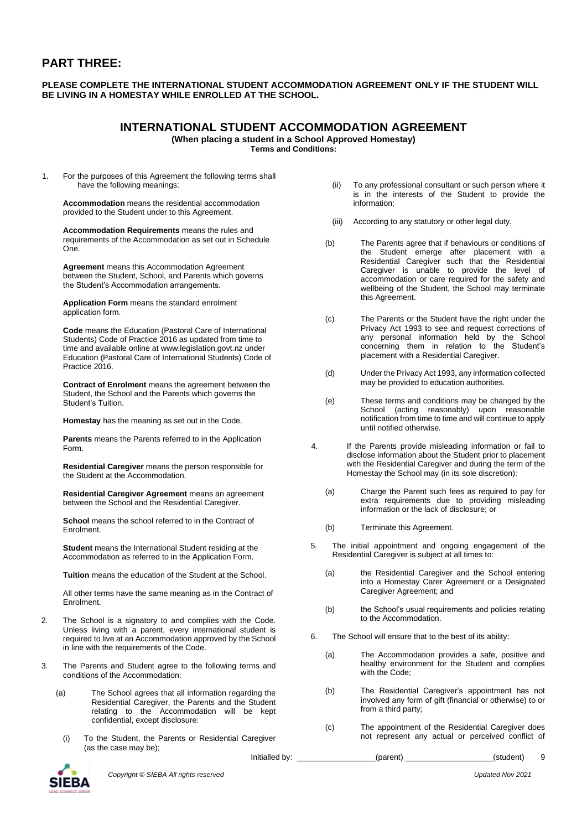## **PART THREE:**

#### **PLEASE COMPLETE THE INTERNATIONAL STUDENT ACCOMMODATION AGREEMENT ONLY IF THE STUDENT WILL BE LIVING IN A HOMESTAY WHILE ENROLLED AT THE SCHOOL.**

# **INTERNATIONAL STUDENT ACCOMMODATION AGREEMENT**

**(When placing a student in a School Approved Homestay)**

**Terms and Conditions:**

1. For the purposes of this Agreement the following terms shall have the following meanings:

**Accommodation** means the residential accommodation provided to the Student under to this Agreement.

**Accommodation Requirements** means the rules and requirements of the Accommodation as set out in Schedule One.

**Agreement** means this Accommodation Agreement between the Student, School, and Parents which governs the Student's Accommodation arrangements.

**Application Form** means the standard enrolment application form.

**Code** means the Education (Pastoral Care of International Students) Code of Practice 2016 as updated from time to time and available online at www.legislation.govt.nz under Education (Pastoral Care of International Students) Code of Practice 2016.

**Contract of Enrolment** means the agreement between the Student, the School and the Parents which governs the Student's Tuition.

**Homestay** has the meaning as set out in the Code.

**Parents** means the Parents referred to in the Application Form.

**Residential Caregiver** means the person responsible for the Student at the Accommodation.

**Residential Caregiver Agreement** means an agreement between the School and the Residential Caregiver.

**School** means the school referred to in the Contract of Enrolment.

**Student** means the International Student residing at the Accommodation as referred to in the Application Form.

**Tuition** means the education of the Student at the School.

All other terms have the same meaning as in the Contract of Enrolment.

- 2. The School is a signatory to and complies with the Code. Unless living with a parent, every international student is required to live at an Accommodation approved by the School in line with the requirements of the Code.
- 3. The Parents and Student agree to the following terms and conditions of the Accommodation:
	- (a) The School agrees that all information regarding the Residential Caregiver, the Parents and the Student relating to the Accommodation will be kept confidential, except disclosure:
		- (i) To the Student, the Parents or Residential Caregiver (as the case may be);

Initialled by: \_\_\_\_\_\_\_\_\_\_\_\_\_\_\_\_\_\_\_\_\_\_\_\_(parent) \_\_\_\_\_\_\_\_\_\_\_\_\_\_\_\_\_\_\_\_\_\_\_(student)

- (ii) To any professional consultant or such person where it is in the interests of the Student to provide the information;
- (iii) According to any statutory or other legal duty.
- (b) The Parents agree that if behaviours or conditions of the Student emerge after placement with a Residential Caregiver such that the Residential Caregiver is unable to provide the level of accommodation or care required for the safety and wellbeing of the Student, the School may terminate this Agreement.
- (c) The Parents or the Student have the right under the Privacy Act 1993 to see and request corrections of any personal information held by the School concerning them in relation to the Student's placement with a Residential Caregiver.
- (d) Under the Privacy Act 1993, any information collected may be provided to education authorities.
- (e) These terms and conditions may be changed by the School (acting reasonably) upon reasonable notification from time to time and will continue to apply until notified otherwise.
- 4. If the Parents provide misleading information or fail to disclose information about the Student prior to placement with the Residential Caregiver and during the term of the Homestay the School may (in its sole discretion):
	- (a) Charge the Parent such fees as required to pay for extra requirements due to providing misleading information or the lack of disclosure; or
	- (b) Terminate this Agreement.
- 5. The initial appointment and ongoing engagement of the Residential Caregiver is subject at all times to:
	- (a) the Residential Caregiver and the School entering into a Homestay Carer Agreement or a Designated Caregiver Agreement; and
	- (b) the School's usual requirements and policies relating to the Accommodation.
- 6. The School will ensure that to the best of its ability:
	- (a) The Accommodation provides a safe, positive and healthy environment for the Student and complies with the Code;
	- (b) The Residential Caregiver's appointment has not involved any form of gift (financial or otherwise) to or from a third party:
	- (c) The appointment of the Residential Caregiver does not represent any actual or perceived conflict of



9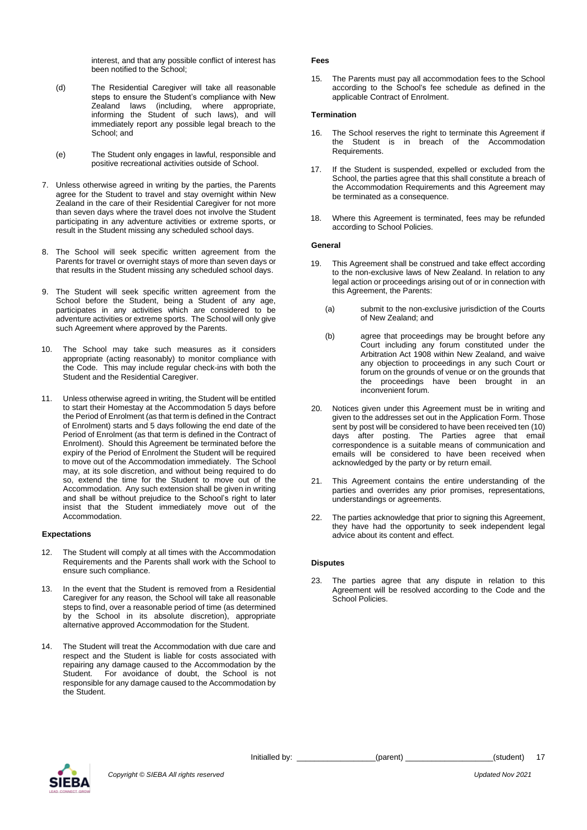interest, and that any possible conflict of interest has been notified to the School;

- (d) The Residential Caregiver will take all reasonable steps to ensure the Student's compliance with New Zealand laws (including, where appropriate, informing the Student of such laws), and will immediately report any possible legal breach to the School; and
- (e) The Student only engages in lawful, responsible and positive recreational activities outside of School.
- 7. Unless otherwise agreed in writing by the parties, the Parents agree for the Student to travel and stay overnight within New Zealand in the care of their Residential Caregiver for not more than seven days where the travel does not involve the Student participating in any adventure activities or extreme sports, or result in the Student missing any scheduled school days.
- 8. The School will seek specific written agreement from the Parents for travel or overnight stays of more than seven days or that results in the Student missing any scheduled school days.
- 9. The Student will seek specific written agreement from the School before the Student, being a Student of any age, participates in any activities which are considered to be adventure activities or extreme sports. The School will only give such Agreement where approved by the Parents.
- 10. The School may take such measures as it considers appropriate (acting reasonably) to monitor compliance with the Code. This may include regular check-ins with both the Student and the Residential Caregiver.
- 11. Unless otherwise agreed in writing, the Student will be entitled to start their Homestay at the Accommodation 5 days before the Period of Enrolment (as that term is defined in the Contract of Enrolment) starts and 5 days following the end date of the Period of Enrolment (as that term is defined in the Contract of Enrolment). Should this Agreement be terminated before the expiry of the Period of Enrolment the Student will be required to move out of the Accommodation immediately. The School may, at its sole discretion, and without being required to do so, extend the time for the Student to move out of the Accommodation. Any such extension shall be given in writing and shall be without prejudice to the School's right to later insist that the Student immediately move out of the Accommodation.

#### **Expectations**

- 12. The Student will comply at all times with the Accommodation Requirements and the Parents shall work with the School to ensure such compliance.
- 13. In the event that the Student is removed from a Residential Caregiver for any reason, the School will take all reasonable steps to find, over a reasonable period of time (as determined by the School in its absolute discretion), appropriate alternative approved Accommodation for the Student.
- 14. The Student will treat the Accommodation with due care and respect and the Student is liable for costs associated with repairing any damage caused to the Accommodation by the Student. For avoidance of doubt, the School is not responsible for any damage caused to the Accommodation by the Student.

#### **Fees**

15. The Parents must pay all accommodation fees to the School according to the School's fee schedule as defined in the applicable Contract of Enrolment.

#### **Termination**

- 16. The School reserves the right to terminate this Agreement if the Student is in breach of the Accommodation Requirements.
- 17. If the Student is suspended, expelled or excluded from the School, the parties agree that this shall constitute a breach of the Accommodation Requirements and this Agreement may be terminated as a consequence.
- 18. Where this Agreement is terminated, fees may be refunded according to School Policies.

#### **General**

- 19. This Agreement shall be construed and take effect according to the non-exclusive laws of New Zealand. In relation to any legal action or proceedings arising out of or in connection with this Agreement, the Parents:
	- (a) submit to the non-exclusive jurisdiction of the Courts of New Zealand; and
	- (b) agree that proceedings may be brought before any Court including any forum constituted under the Arbitration Act 1908 within New Zealand, and waive any objection to proceedings in any such Court or forum on the grounds of venue or on the grounds that the proceedings have been brought in an inconvenient forum.
- 20. Notices given under this Agreement must be in writing and given to the addresses set out in the Application Form. Those sent by post will be considered to have been received ten (10) days after posting. The Parties agree that email correspondence is a suitable means of communication and emails will be considered to have been received when acknowledged by the party or by return email.
- 21. This Agreement contains the entire understanding of the parties and overrides any prior promises, representations, understandings or agreements.
- 22. The parties acknowledge that prior to signing this Agreement, they have had the opportunity to seek independent legal advice about its content and effect.

#### **Disputes**

23. The parties agree that any dispute in relation to this Agreement will be resolved according to the Code and the School Policies.



17